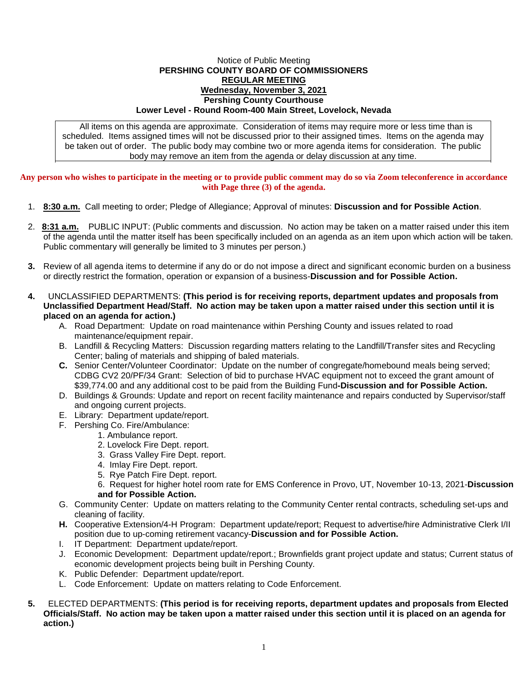## Notice of Public Meeting **PERSHING COUNTY BOARD OF COMMISSIONERS REGULAR MEETING Wednesday, November 3, 2021 Pershing County Courthouse Lower Level - Round Room-400 Main Street, Lovelock, Nevada**

All items on this agenda are approximate. Consideration of items may require more or less time than is scheduled. Items assigned times will not be discussed prior to their assigned times. Items on the agenda may be taken out of order. The public body may combine two or more agenda items for consideration. The public body may remove an item from the agenda or delay discussion at any time.

**Any person who wishes to participate in the meeting or to provide public comment may do so via Zoom teleconference in accordance with Page three (3) of the agenda.**

- 1. **8:30 a.m.** Call meeting to order; Pledge of Allegiance; Approval of minutes: **Discussion and for Possible Action**.
- 2. **8:31 a.m.** PUBLIC INPUT: (Public comments and discussion. No action may be taken on a matter raised under this item of the agenda until the matter itself has been specifically included on an agenda as an item upon which action will be taken. Public commentary will generally be limited to 3 minutes per person.)
- **3.** Review of all agenda items to determine if any do or do not impose a direct and significant economic burden on a business or directly restrict the formation, operation or expansion of a business-**Discussion and for Possible Action.**
- **4.** UNCLASSIFIED DEPARTMENTS: **(This period is for receiving reports, department updates and proposals from Unclassified Department Head/Staff. No action may be taken upon a matter raised under this section until it is placed on an agenda for action.)**
	- A. Road Department: Update on road maintenance within Pershing County and issues related to road maintenance/equipment repair.
	- B. Landfill & Recycling Matters: Discussion regarding matters relating to the Landfill/Transfer sites and Recycling Center; baling of materials and shipping of baled materials.
	- **C.** Senior Center/Volunteer Coordinator: Update on the number of congregate/homebound meals being served; CDBG CV2 20/PF/34 Grant: Selection of bid to purchase HVAC equipment not to exceed the grant amount of \$39,774.00 and any additional cost to be paid from the Building Fund**-Discussion and for Possible Action.**
	- D. Buildings & Grounds: Update and report on recent facility maintenance and repairs conducted by Supervisor/staff and ongoing current projects.
	- E. Library: Department update/report.
	- F. Pershing Co. Fire/Ambulance:
		- 1. Ambulance report.
		- 2. Lovelock Fire Dept. report.
		- 3. Grass Valley Fire Dept. report.
		- 4. Imlay Fire Dept. report.
		- 5. Rye Patch Fire Dept. report.
		- 6. Request for higher hotel room rate for EMS Conference in Provo, UT, November 10-13, 2021-**Discussion and for Possible Action.**
	- G. Community Center: Update on matters relating to the Community Center rental contracts, scheduling set-ups and cleaning of facility.
	- **H.** Cooperative Extension/4-H Program: Department update/report; Request to advertise/hire Administrative Clerk I/II position due to up-coming retirement vacancy-**Discussion and for Possible Action.**
	- I. IT Department: Department update/report.
	- J. Economic Development: Department update/report.; Brownfields grant project update and status; Current status of economic development projects being built in Pershing County.
	- K. Public Defender: Department update/report.
	- L. Code Enforcement: Update on matters relating to Code Enforcement.
- **5.** ELECTED DEPARTMENTS: **(This period is for receiving reports, department updates and proposals from Elected Officials/Staff. No action may be taken upon a matter raised under this section until it is placed on an agenda for action.)**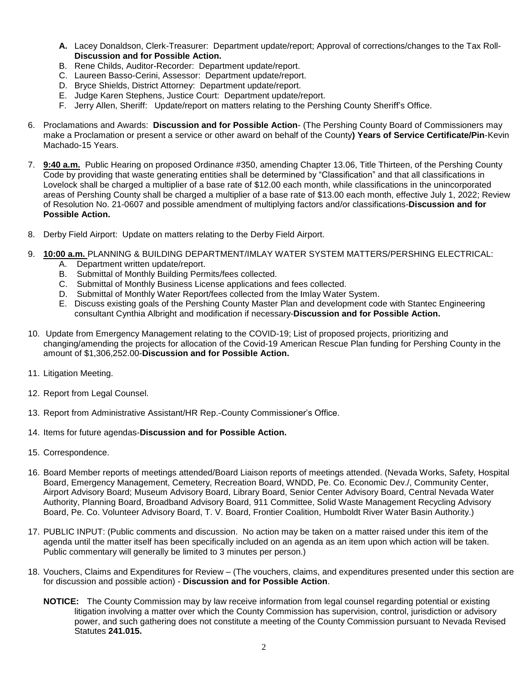- **A.** Lacey Donaldson, Clerk-Treasurer: Department update/report; Approval of corrections/changes to the Tax Roll-**Discussion and for Possible Action.**
- B. Rene Childs, Auditor-Recorder: Department update/report.
- C. Laureen Basso-Cerini, Assessor: Department update/report.
- D. Bryce Shields, District Attorney: Department update/report.
- E. Judge Karen Stephens, Justice Court: Department update/report.
- F. Jerry Allen, Sheriff: Update/report on matters relating to the Pershing County Sheriff's Office.
- 6. Proclamations and Awards: **Discussion and for Possible Action** (The Pershing County Board of Commissioners may make a Proclamation or present a service or other award on behalf of the County**) Years of Service Certificate/Pin**-Kevin Machado-15 Years.
- 7. **9:40 a.m.** Public Hearing on proposed Ordinance #350, amending Chapter 13.06, Title Thirteen, of the Pershing County Code by providing that waste generating entities shall be determined by "Classification" and that all classifications in Lovelock shall be charged a multiplier of a base rate of \$12.00 each month, while classifications in the unincorporated areas of Pershing County shall be charged a multiplier of a base rate of \$13.00 each month, effective July 1, 2022; Review of Resolution No. 21-0607 and possible amendment of multiplying factors and/or classifications-**Discussion and for Possible Action.**
- 8. Derby Field Airport: Update on matters relating to the Derby Field Airport.
- 9. **10:00 a.m.** PLANNING & BUILDING DEPARTMENT/IMLAY WATER SYSTEM MATTERS/PERSHING ELECTRICAL:
	- A. Department written update/report.
		- B. Submittal of Monthly Building Permits/fees collected.
		- C. Submittal of Monthly Business License applications and fees collected.
		- D. Submittal of Monthly Water Report/fees collected from the Imlay Water System.
		- E. Discuss existing goals of the Pershing County Master Plan and development code with Stantec Engineering consultant Cynthia Albright and modification if necessary-**Discussion and for Possible Action.**
- 10. Update from Emergency Management relating to the COVID-19; List of proposed projects, prioritizing and changing/amending the projects for allocation of the Covid-19 American Rescue Plan funding for Pershing County in the amount of \$1,306,252.00-**Discussion and for Possible Action.**
- 11. Litigation Meeting.
- 12. Report from Legal Counsel.
- 13. Report from Administrative Assistant/HR Rep.-County Commissioner's Office.
- 14. Items for future agendas-**Discussion and for Possible Action.**
- 15. Correspondence.
- 16. Board Member reports of meetings attended/Board Liaison reports of meetings attended. (Nevada Works, Safety, Hospital Board, Emergency Management, Cemetery, Recreation Board, WNDD, Pe. Co. Economic Dev./, Community Center, Airport Advisory Board; Museum Advisory Board, Library Board, Senior Center Advisory Board, Central Nevada Water Authority, Planning Board, Broadband Advisory Board, 911 Committee, Solid Waste Management Recycling Advisory Board, Pe. Co. Volunteer Advisory Board, T. V. Board, Frontier Coalition, Humboldt River Water Basin Authority.)
- 17. PUBLIC INPUT: (Public comments and discussion. No action may be taken on a matter raised under this item of the agenda until the matter itself has been specifically included on an agenda as an item upon which action will be taken. Public commentary will generally be limited to 3 minutes per person.)
- 18. Vouchers, Claims and Expenditures for Review (The vouchers, claims, and expenditures presented under this section are for discussion and possible action) - **Discussion and for Possible Action**.
	- **NOTICE:** The County Commission may by law receive information from legal counsel regarding potential or existing litigation involving a matter over which the County Commission has supervision, control, jurisdiction or advisory power, and such gathering does not constitute a meeting of the County Commission pursuant to Nevada Revised Statutes **241.015.**